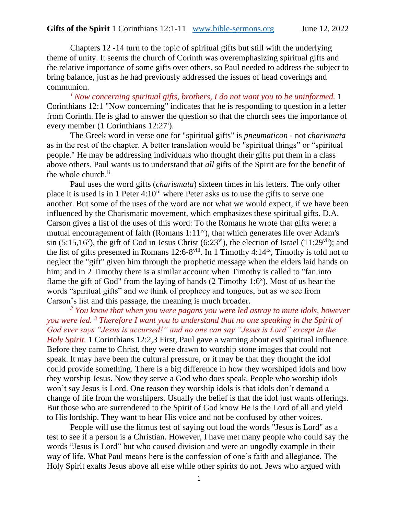Chapters 12 -14 turn to the topic of spiritual gifts but still with the underlying theme of unity. It seems the church of Corinth was overemphasizing spiritual gifts and the relative importance of some gifts over others, so Paul needed to address the subject to bring balance, just as he had previously addressed the issues of head coverings and communion.

*<sup>1</sup>Now concerning spiritual gifts, brothers, I do not want you to be uninformed.* 1 Corinthians 12:1 "Now concerning" indicates that he is responding to question in a letter from Corinth. He is glad to answer the question so that the church sees the importance of every member (1 Corinthians 12:27<sup>i</sup>).

The Greek word in verse one for "spiritual gifts" is *pneumaticon* - not *charismata* as in the rest of the chapter. A better translation would be "spiritual things" or "spiritual people." He may be addressing individuals who thought their gifts put them in a class above others. Paul wants us to understand that *all* gifts of the Spirit are for the benefit of the whole church.<sup>ii</sup>

Paul uses the word gifts (*charismata*) sixteen times in his letters. The only other place it is used is in 1 Peter  $4:10^{iii}$  where Peter asks us to use the gifts to serve one another. But some of the uses of the word are not what we would expect, if we have been influenced by the Charismatic movement, which emphasizes these spiritual gifts. D.A. Carson gives a list of the uses of this word: To the Romans he wrote that gifts were: a mutual encouragement of faith (Romans 1:11<sup>iv</sup>), that which generates life over Adam's  $\sin (5:15,16^{\circ})$ , the gift of God in Jesus Christ  $(6:23^{\circ i})$ , the election of Israel  $(11:29^{\circ ii})$ ; and the list of gifts presented in Romans  $12:6-8$ <sup>viii</sup>. In 1 Timothy 4:14<sup>ix</sup>, Timothy is told not to neglect the "gift" given him through the prophetic message when the elders laid hands on him; and in 2 Timothy there is a similar account when Timothy is called to "fan into flame the gift of God" from the laying of hands  $(2 \text{ Timothy } 1:6^x)$ . Most of us hear the words "spiritual gifts" and we think of prophecy and tongues, but as we see from Carson's list and this passage, the meaning is much broader.

*<sup>2</sup> You know that when you were pagans you were led astray to mute idols, however you were led. <sup>3</sup> Therefore I want you to understand that no one speaking in the Spirit of God ever says "Jesus is accursed!" and no one can say "Jesus is Lord" except in the Holy Spirit.* 1 Corinthians 12:2,3 First, Paul gave a warning about evil spiritual influence. Before they came to Christ, they were drawn to worship stone images that could not speak. It may have been the cultural pressure, or it may be that they thought the idol could provide something. There is a big difference in how they worshiped idols and how they worship Jesus. Now they serve a God who does speak. People who worship idols won't say Jesus is Lord. One reason they worship idols is that idols don't demand a change of life from the worshipers. Usually the belief is that the idol just wants offerings. But those who are surrendered to the Spirit of God know He is the Lord of all and yield to His lordship. They want to hear His voice and not be confused by other voices.

People will use the litmus test of saying out loud the words "Jesus is Lord" as a test to see if a person is a Christian. However, I have met many people who could say the words "Jesus is Lord" but who caused division and were an ungodly example in their way of life. What Paul means here is the confession of one's faith and allegiance. The Holy Spirit exalts Jesus above all else while other spirits do not. Jews who argued with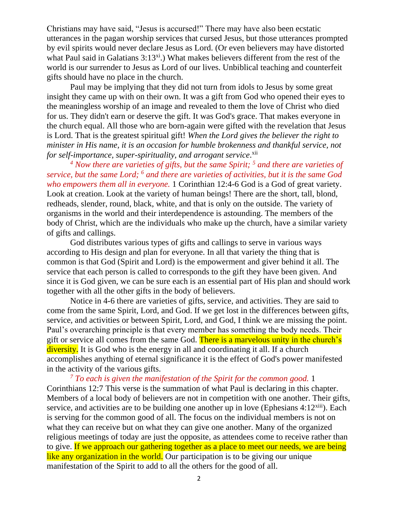Christians may have said, "Jesus is accursed!" There may have also been ecstatic utterances in the pagan worship services that cursed Jesus, but those utterances prompted by evil spirits would never declare Jesus as Lord. (Or even believers may have distorted what Paul said in Galatians  $3:13^{xi}$ .) What makes believers different from the rest of the world is our surrender to Jesus as Lord of our lives. Unbiblical teaching and counterfeit gifts should have no place in the church.

Paul may be implying that they did not turn from idols to Jesus by some great insight they came up with on their own. It was a gift from God who opened their eyes to the meaningless worship of an image and revealed to them the love of Christ who died for us. They didn't earn or deserve the gift. It was God's grace. That makes everyone in the church equal. All those who are born-again were gifted with the revelation that Jesus is Lord. That is the greatest spiritual gift! *When the Lord gives the believer the right to minister in His name, it is an occasion for humble brokenness and thankful service, not for self-importance, super-spirituality, and arrogant service*. xii

*<sup>4</sup> Now there are varieties of gifts, but the same Spirit; <sup>5</sup> and there are varieties of service, but the same Lord; <sup>6</sup> and there are varieties of activities, but it is the same God who empowers them all in everyone.* 1 Corinthian 12:4-6 God is a God of great variety. Look at creation. Look at the variety of human beings! There are the short, tall, blond, redheads, slender, round, black, white, and that is only on the outside. The variety of organisms in the world and their interdependence is astounding. The members of the body of Christ, which are the individuals who make up the church, have a similar variety of gifts and callings.

God distributes various types of gifts and callings to serve in various ways according to His design and plan for everyone. In all that variety the thing that is common is that God (Spirit and Lord) is the empowerment and giver behind it all. The service that each person is called to corresponds to the gift they have been given. And since it is God given, we can be sure each is an essential part of His plan and should work together with all the other gifts in the body of believers.

Notice in 4-6 there are varieties of gifts, service, and activities. They are said to come from the same Spirit, Lord, and God. If we get lost in the differences between gifts, service, and activities or between Spirit, Lord, and God, I think we are missing the point. Paul's overarching principle is that every member has something the body needs. Their gift or service all comes from the same God. There is a marvelous unity in the church's diversity. It is God who is the energy in all and coordinating it all. If a church accomplishes anything of eternal significance it is the effect of God's power manifested in the activity of the various gifts.

*<sup>7</sup> To each is given the manifestation of the Spirit for the common good.* 1 Corinthians 12:7 This verse is the summation of what Paul is declaring in this chapter. Members of a local body of believers are not in competition with one another. Their gifts, service, and activities are to be building one another up in love (Ephesians  $4:12^{xiii}$ ). Each is serving for the common good of all. The focus on the individual members is not on what they can receive but on what they can give one another. Many of the organized religious meetings of today are just the opposite, as attendees come to receive rather than to give. If we approach our gathering together as a place to meet our needs, we are being like any organization in the world. Our participation is to be giving our unique manifestation of the Spirit to add to all the others for the good of all.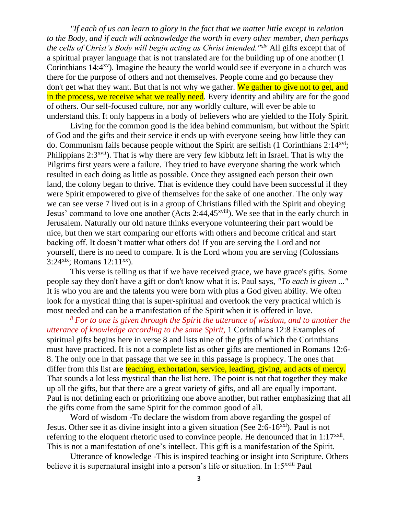*"If each of us can learn to glory in the fact that we matter little except in relation to the Body, and if each will acknowledge the worth in every other member, then perhaps the cells of Christ's Body will begin acting as Christ intended."xiv* All gifts except that of a spiritual prayer language that is not translated are for the building up of one another (1 Corinthians  $14:4<sup>xy</sup>$ ). Imagine the beauty the world would see if everyone in a church was there for the purpose of others and not themselves. People come and go because they don't get what they want. But that is not why we gather. We gather to give not to get, and in the process, we receive what we really need*.* Every identity and ability are for the good of others. Our self-focused culture, nor any worldly culture, will ever be able to understand this. It only happens in a body of believers who are yielded to the Holy Spirit.

Living for the common good is the idea behind communism, but without the Spirit of God and the gifts and their service it ends up with everyone seeing how little they can do. Communism fails because people without the Spirit are selfish (1 Corinthians 2:14xvi; Philippians  $2:3^{xvii}$ ). That is why there are very few kibbutz left in Israel. That is why the Pilgrims first years were a failure. They tried to have everyone sharing the work which resulted in each doing as little as possible. Once they assigned each person their own land, the colony began to thrive. That is evidence they could have been successful if they were Spirit empowered to give of themselves for the sake of one another. The only way we can see verse 7 lived out is in a group of Christians filled with the Spirit and obeying Jesus' command to love one another (Acts 2:44,45xviii). We see that in the early church in Jerusalem. Naturally our old nature thinks everyone volunteering their part would be nice, but then we start comparing our efforts with others and become critical and start backing off. It doesn't matter what others do! If you are serving the Lord and not yourself, there is no need to compare. It is the Lord whom you are serving (Colossians 3:24 $x$ ix; Romans 12:11 $x$ x).

This verse is telling us that if we have received grace, we have grace's gifts. Some people say they don't have a gift or don't know what it is. Paul says, *"To each is given ..."* It is who you are and the talents you were born with plus a God given ability. We often look for a mystical thing that is super-spiritual and overlook the very practical which is most needed and can be a manifestation of the Spirit when it is offered in love.

*<sup>8</sup> For to one is given through the Spirit the utterance of wisdom, and to another the utterance of knowledge according to the same Spirit,* 1 Corinthians 12:8 Examples of spiritual gifts begins here in verse 8 and lists nine of the gifts of which the Corinthians must have practiced. It is not a complete list as other gifts are mentioned in Romans 12:6- 8. The only one in that passage that we see in this passage is prophecy. The ones that differ from this list are teaching, exhortation, service, leading, giving, and acts of mercy. That sounds a lot less mystical than the list here. The point is not that together they make up all the gifts, but that there are a great variety of gifts, and all are equally important. Paul is not defining each or prioritizing one above another, but rather emphasizing that all the gifts come from the same Spirit for the common good of all.

Word of wisdom -To declare the wisdom from above regarding the gospel of Jesus. Other see it as divine insight into a given situation (See 2:6-16<sup>xxi</sup>). Paul is not referring to the eloquent rhetoric used to convince people. He denounced that in  $1:17^{xxii}$ . This is not a manifestation of one's intellect. This gift is a manifestation of the Spirit.

Utterance of knowledge -This is inspired teaching or insight into Scripture. Others believe it is supernatural insight into a person's life or situation. In 1:5<sup>xxiii</sup> Paul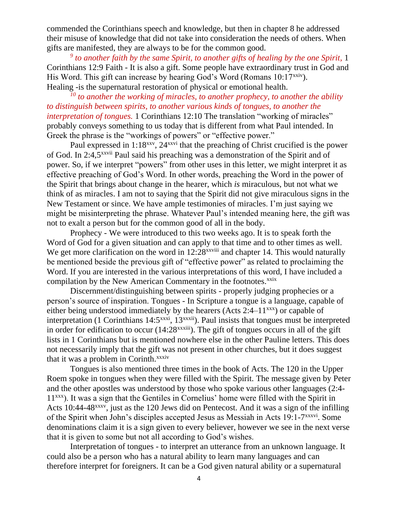commended the Corinthians speech and knowledge, but then in chapter 8 he addressed their misuse of knowledge that did not take into consideration the needs of others. When gifts are manifested, they are always to be for the common good.

*9 to another faith by the same Spirit, to another gifts of healing by the one Spirit,* 1 Corinthians 12:9 Faith - It is also a gift. Some people have extraordinary trust in God and His Word. This gift can increase by hearing God's Word (Romans  $10:17^{x\times i\nu}$ ). Healing -is the supernatural restoration of physical or emotional health.

*<sup>10</sup> to another the working of miracles, to another prophecy, to another the ability to distinguish between spirits, to another various kinds of tongues, to another the interpretation of tongues.* 1 Corinthians 12:10 The translation "working of miracles" probably conveys something to us today that is different from what Paul intended. In Greek the phrase is the "workings of powers" or "effective power."

Paul expressed in 1:18<sup>xxv</sup>, 24<sup>xxvi</sup> that the preaching of Christ crucified is the power of God. In 2:4,5xxvii Paul said his preaching was a demonstration of the Spirit and of power. So, if we interpret "powers" from other uses in this letter, we might interpret it as effective preaching of God's Word. In other words, preaching the Word in the power of the Spirit that brings about change in the hearer, which *is* miraculous, but not what we think of as miracles. I am not to saying that the Spirit did not give miraculous signs in the New Testament or since. We have ample testimonies of miracles. I'm just saying we might be misinterpreting the phrase. Whatever Paul's intended meaning here, the gift was not to exalt a person but for the common good of all in the body.

Prophecy - We were introduced to this two weeks ago. It is to speak forth the Word of God for a given situation and can apply to that time and to other times as well. We get more clarification on the word in  $12:28^{xxviii}$  and chapter 14. This would naturally be mentioned beside the previous gift of "effective power" as related to proclaiming the Word. If you are interested in the various interpretations of this word, I have included a compilation by the New American Commentary in the footnotes.<sup>xxix</sup>

Discernment/distinguishing between spirits - properly judging prophecies or a person's source of inspiration. Tongues - In Scripture a tongue is a language, capable of either being understood immediately by the hearers (Acts 2:4– $11^{xxxx}$ ) or capable of interpretation (1 Corinthians 14:5<sup>xxxi</sup>, 13<sup>xxxii</sup>). Paul insists that tongues must be interpreted in order for edification to occur  $(14:28^{xxxiii})$ . The gift of tongues occurs in all of the gift lists in 1 Corinthians but is mentioned nowhere else in the other Pauline letters. This does not necessarily imply that the gift was not present in other churches, but it does suggest that it was a problem in Corinth.<sup>xxxiv</sup>

Tongues is also mentioned three times in the book of Acts. The 120 in the Upper Roem spoke in tongues when they were filled with the Spirit. The message given by Peter and the other apostles was understood by those who spoke various other languages (2:4- 11xxx). It was a sign that the Gentiles in Cornelius' home were filled with the Spirit in Acts 10:44-48xxxv, just as the 120 Jews did on Pentecost. And it was a sign of the infilling of the Spirit when John's disciples accepted Jesus as Messiah in Acts 19:1-7<sup>xxxvi</sup>. Some denominations claim it is a sign given to every believer, however we see in the next verse that it is given to some but not all according to God's wishes.

Interpretation of tongues - to interpret an utterance from an unknown language. It could also be a person who has a natural ability to learn many languages and can therefore interpret for foreigners. It can be a God given natural ability or a supernatural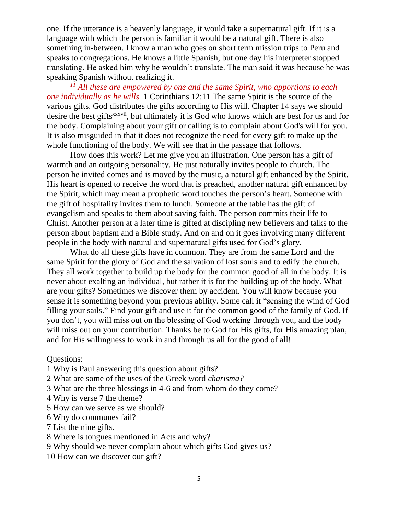one. If the utterance is a heavenly language, it would take a supernatural gift. If it is a language with which the person is familiar it would be a natural gift. There is also something in-between. I know a man who goes on short term mission trips to Peru and speaks to congregations. He knows a little Spanish, but one day his interpreter stopped translating. He asked him why he wouldn't translate. The man said it was because he was speaking Spanish without realizing it.

*<sup>11</sup> All these are empowered by one and the same Spirit, who apportions to each one individually as he wills.* 1 Corinthians 12:11 The same Spirit is the source of the various gifts. God distributes the gifts according to His will. Chapter 14 says we should desire the best gifts<sup>xxxvii</sup>, but ultimately it is God who knows which are best for us and for the body. Complaining about your gift or calling is to complain about God's will for you. It is also misguided in that it does not recognize the need for every gift to make up the whole functioning of the body. We will see that in the passage that follows.

How does this work? Let me give you an illustration. One person has a gift of warmth and an outgoing personality. He just naturally invites people to church. The person he invited comes and is moved by the music, a natural gift enhanced by the Spirit. His heart is opened to receive the word that is preached, another natural gift enhanced by the Spirit, which may mean a prophetic word touches the person's heart. Someone with the gift of hospitality invites them to lunch. Someone at the table has the gift of evangelism and speaks to them about saving faith. The person commits their life to Christ. Another person at a later time is gifted at discipling new believers and talks to the person about baptism and a Bible study. And on and on it goes involving many different people in the body with natural and supernatural gifts used for God's glory.

What do all these gifts have in common. They are from the same Lord and the same Spirit for the glory of God and the salvation of lost souls and to edify the church. They all work together to build up the body for the common good of all in the body. It is never about exalting an individual, but rather it is for the building up of the body. What are your gifts? Sometimes we discover them by accident. You will know because you sense it is something beyond your previous ability. Some call it "sensing the wind of God filling your sails." Find your gift and use it for the common good of the family of God. If you don't, you will miss out on the blessing of God working through you, and the body will miss out on your contribution. Thanks be to God for His gifts, for His amazing plan, and for His willingness to work in and through us all for the good of all!

# Questions:

- 1 Why is Paul answering this question about gifts?
- 2 What are some of the uses of the Greek word *charisma?*
- 3 What are the three blessings in 4-6 and from whom do they come?
- 4 Why is verse 7 the theme?
- 5 How can we serve as we should?
- 6 Why do communes fail?
- 7 List the nine gifts.
- 8 Where is tongues mentioned in Acts and why?
- 9 Why should we never complain about which gifts God gives us?
- 10 How can we discover our gift?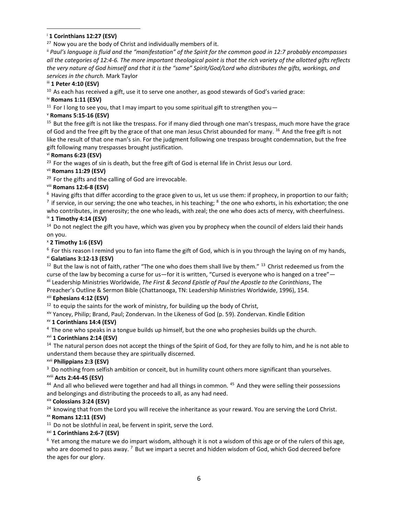#### <sup>i</sup> **1 Corinthians 12:27 (ESV)**

 $27$  Now you are the body of Christ and individually members of it.

ii *Paul's language is fluid and the "manifestation" of the Spirit for the common good in 12:7 probably encompasses all the categories of 12:4-6. The more important theological point is that the rich variety of the allotted gifts reflects the very nature of God himself and that it is the "same" Spirit/God/Lord who distributes the gifts, workings, and services in the church.* Mark Taylor

#### iii **1 Peter 4:10 (ESV)**

 $10$  As each has received a gift, use it to serve one another, as good stewards of God's varied grace:

# iv **Romans 1:11 (ESV)**

<sup>11</sup> For I long to see you, that I may impart to you some spiritual gift to strengthen you  $-$ 

### <sup>v</sup> **Romans 5:15-16 (ESV)**

 $15$  But the free gift is not like the trespass. For if many died through one man's trespass, much more have the grace of God and the free gift by the grace of that one man Jesus Christ abounded for many. <sup>16</sup> And the free gift is not like the result of that one man's sin. For the judgment following one trespass brought condemnation, but the free gift following many trespasses brought justification.

#### vi **Romans 6:23 (ESV)**

 $23$  For the wages of sin is death, but the free gift of God is eternal life in Christ Jesus our Lord.

### vii **Romans 11:29 (ESV)**

<sup>29</sup> For the gifts and the calling of God are irrevocable.

# viii **Romans 12:6-8 (ESV)**

 $6$  Having gifts that differ according to the grace given to us, let us use them: if prophecy, in proportion to our faith;  $^7$  if service, in our serving; the one who teaches, in his teaching;  $^8$  the one who exhorts, in his exhortation; the one who contributes, in generosity; the one who leads, with zeal; the one who does acts of mercy, with cheerfulness.

#### ix **1 Timothy 4:14 (ESV)**

 $14$  Do not neglect the gift you have, which was given you by prophecy when the council of elders laid their hands on you.

#### <sup>x</sup> **2 Timothy 1:6 (ESV)**

 $6$  For this reason I remind you to fan into flame the gift of God, which is in you through the laying on of my hands, xi **Galatians 3:12-13 (ESV)** 

 $12$  But the law is not of faith, rather "The one who does them shall live by them."  $13$  Christ redeemed us from the curse of the law by becoming a curse for us—for it is written, "Cursed is everyone who is hanged on a tree" xii Leadership Ministries Worldwide, *The First & Second Epistle of Paul the Apostle to the Corinthians*, The

Preacher's Outline & Sermon Bible (Chattanooga, TN: Leadership Ministries Worldwide, 1996), 154.

### xiii **Ephesians 4:12 (ESV)**

 $12$  to equip the saints for the work of ministry, for building up the body of Christ,

xiv Yancey, Philip; Brand, Paul; Zondervan. In the Likeness of God (p. 59). Zondervan. Kindle Edition

#### xv **1 Corinthians 14:4 (ESV)**

<sup>4</sup>The one who speaks in a tongue builds up himself, but the one who prophesies builds up the church.

#### xvi **1 Corinthians 2:14 (ESV)**

<sup>14</sup> The natural person does not accept the things of the Spirit of God, for they are folly to him, and he is not able to understand them because they are spiritually discerned.

#### xvii **Philippians 2:3 (ESV)**

 $3$  Do nothing from selfish ambition or conceit, but in humility count others more significant than yourselves.

#### xviii **Acts 2:44-45 (ESV)**

<sup>44</sup> And all who believed were together and had all things in common. <sup>45</sup> And they were selling their possessions and belongings and distributing the proceeds to all, as any had need.

#### xix **Colossians 3:24 (ESV)**

 $24$  knowing that from the Lord you will receive the inheritance as your reward. You are serving the Lord Christ.

### xx **Romans 12:11 (ESV)**

 $11$  Do not be slothful in zeal, be fervent in spirit, serve the Lord.

### xxi **1 Corinthians 2:6-7 (ESV)**

 $6$  Yet among the mature we do impart wisdom, although it is not a wisdom of this age or of the rulers of this age, who are doomed to pass away. <sup>7</sup> But we impart a secret and hidden wisdom of God, which God decreed before the ages for our glory.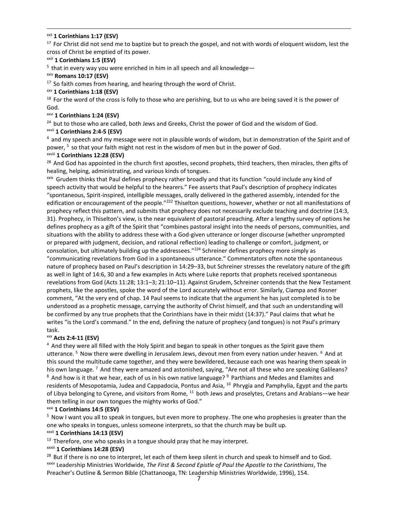#### xxii **1 Corinthians 1:17 (ESV)**

 $17$  For Christ did not send me to baptize but to preach the gospel, and not with words of eloquent wisdom, lest the cross of Christ be emptied of its power.

#### xxiii **1 Corinthians 1:5 (ESV)**

 $5$  that in every way you were enriched in him in all speech and all knowledge—

# xxiv **Romans 10:17 (ESV)**

 $17$  So faith comes from hearing, and hearing through the word of Christ.

#### xxv **1 Corinthians 1:18 (ESV)**

 $18$  For the word of the cross is folly to those who are perishing, but to us who are being saved it is the power of God.

### xxvi **1 Corinthians 1:24 (ESV)**

<sup>24</sup> but to those who are called, both Jews and Greeks, Christ the power of God and the wisdom of God.

# xxvii **1 Corinthians 2:4-5 (ESV)**

 $4$  and my speech and my message were not in plausible words of wisdom, but in demonstration of the Spirit and of power, <sup>5</sup> so that your faith might not rest in the wisdom of men but in the power of God.

### xxviii **1 Corinthians 12:28 (ESV)**

<sup>28</sup> And God has appointed in the church first apostles, second prophets, third teachers, then miracles, then gifts of healing, helping, administrating, and various kinds of tongues.

xxix Grudem thinks that Paul defines prophecy rather broadly and that its function "could include any kind of speech activity that would be helpful to the hearers." Fee asserts that Paul's description of prophecy indicates "spontaneous, Spirit-inspired, intelligible messages, orally delivered in the gathered assembly, intended for the edification or encouragement of the people."<sup>222</sup> Thiselton questions, however, whether or not all manifestations of prophecy reflect this pattern, and submits that prophecy does not necessarily exclude teaching and doctrine (14:3, 31). Prophecy, in Thiselton's view, is the near equivalent of pastoral preaching. After a lengthy survey of options he defines prophecy as a gift of the Spirit that "combines pastoral insight into the needs of persons, communities, and situations with the ability to address these with a God-given utterance or longer discourse (whether unprompted or prepared with judgment, decision, and rational reflection) leading to challenge or comfort, judgment, or consolation, but ultimately building up the addressees."<sup>224</sup> Schreiner defines prophecy more simply as "communicating revelations from God in a spontaneous utterance." Commentators often note the spontaneous nature of prophecy based on Paul's description in 14:29–33, but Schreiner stresses the revelatory nature of the gift as well in light of 14:6, 30 and a few examples in Acts where Luke reports that prophets received spontaneous revelations from God (Acts 11:28; 13:1–3; 21:10–11). Against Grudem, Schreiner contends that the New Testament prophets, like the apostles, spoke the word of the Lord accurately without error. Similarly, Ciampa and Rosner comment, "At the very end of chap. 14 Paul seems to indicate that the argument he has just completed is to be understood as a prophetic message, carrying the authority of Christ himself, and that such an understanding will be confirmed by any true prophets that the Corinthians have in their midst (14:37)." Paul claims that what he writes "is the Lord's command." In the end, defining the nature of prophecy (and tongues) is not Paul's primary task.

# xxx **Acts 2:4-11 (ESV)**

<sup>4</sup> And they were all filled with the Holy Spirit and began to speak in other tongues as the Spirit gave them utterance. <sup>5</sup> Now there were dwelling in Jerusalem Jews, devout men from every nation under heaven. <sup>6</sup> And at this sound the multitude came together, and they were bewildered, because each one was hearing them speak in his own language. <sup>7</sup> And they were amazed and astonished, saying, "Are not all these who are speaking Galileans? 8 And how is it that we hear, each of us in his own native language? <sup>9</sup> Parthians and Medes and Elamites and residents of Mesopotamia, Judea and Cappadocia, Pontus and Asia, <sup>10</sup> Phrygia and Pamphylia, Egypt and the parts of Libya belonging to Cyrene, and visitors from Rome, <sup>11</sup> both Jews and proselytes, Cretans and Arabians—we hear them telling in our own tongues the mighty works of God."

### xxxi **1 Corinthians 14:5 (ESV)**

<sup>5</sup> Now I want you all to speak in tongues, but even more to prophesy. The one who prophesies is greater than the one who speaks in tongues, unless someone interprets, so that the church may be built up.

### xxxii **1 Corinthians 14:13 (ESV)**

 $13$  Therefore, one who speaks in a tongue should pray that he may interpret.

### xxxiii **1 Corinthians 14:28 (ESV)**

<sup>28</sup> But if there is no one to interpret, let each of them keep silent in church and speak to himself and to God. xxxiv Leadership Ministries Worldwide, *The First & Second Epistle of Paul the Apostle to the Corinthians*, The Preacher's Outline & Sermon Bible (Chattanooga, TN: Leadership Ministries Worldwide, 1996), 154.